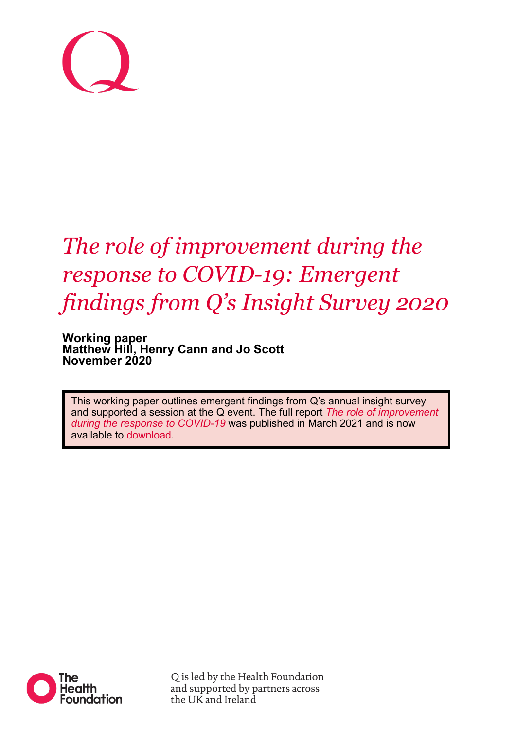

# *The role of improvement during the response to COVID-19: Emergent findings from Q's Insight Survey 2020*

**Working paper Matthew Hill, Henry Cann and Jo Scott November 2020**

This working paper outlines emergent findings from Q's annual insight survey and supported a session at the Q event. The full report *[The role of improvement](https://q.health.org.uk/get-involved/report-the-role-of-improvement-during-the-response-to-covid-19/)  [during the response to COVID-19](https://q.health.org.uk/get-involved/report-the-role-of-improvement-during-the-response-to-covid-19/)* was published in March 2021 and is now available to [download.](https://q.health.org.uk/get-involved/report-the-role-of-improvement-during-the-response-to-covid-19/)



Q is led by the Health Foundation and supported by partners across the UK and Ireland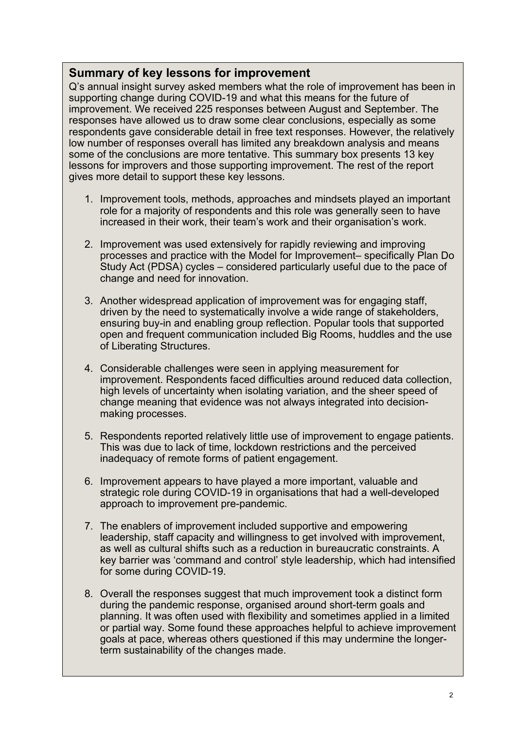## **Summary of key lessons for improvement**

Q's annual insight survey asked members what the role of improvement has been in supporting change during COVID-19 and what this means for the future of improvement. We received 225 responses between August and September. The responses have allowed us to draw some clear conclusions, especially as some respondents gave considerable detail in free text responses. However, the relatively low number of responses overall has limited any breakdown analysis and means some of the conclusions are more tentative. This summary box presents 13 key lessons for improvers and those supporting improvement. The rest of the report gives more detail to support these key lessons.

- 1. Improvement tools, methods, approaches and mindsets played an important role for a majority of respondents and this role was generally seen to have increased in their work, their team's work and their organisation's work.
- 2. Improvement was used extensively for rapidly reviewing and improving processes and practice with the Model for Improvement– specifically Plan Do Study Act (PDSA) cycles – considered particularly useful due to the pace of change and need for innovation.
- 3. Another widespread application of improvement was for engaging staff, driven by the need to systematically involve a wide range of stakeholders, ensuring buy-in and enabling group reflection. Popular tools that supported open and frequent communication included Big Rooms, huddles and the use of Liberating Structures.
- 4. Considerable challenges were seen in applying measurement for improvement. Respondents faced difficulties around reduced data collection, high levels of uncertainty when isolating variation, and the sheer speed of change meaning that evidence was not always integrated into decisionmaking processes.
- 5. Respondents reported relatively little use of improvement to engage patients. This was due to lack of time, lockdown restrictions and the perceived inadequacy of remote forms of patient engagement.
- 6. Improvement appears to have played a more important, valuable and strategic role during COVID-19 in organisations that had a well-developed approach to improvement pre-pandemic.
- 7. The enablers of improvement included supportive and empowering leadership, staff capacity and willingness to get involved with improvement, as well as cultural shifts such as a reduction in bureaucratic constraints. A key barrier was 'command and control' style leadership, which had intensified for some during COVID-19.
- 8. Overall the responses suggest that much improvement took a distinct form during the pandemic response, organised around short-term goals and planning. It was often used with flexibility and sometimes applied in a limited or partial way. Some found these approaches helpful to achieve improvement goals at pace, whereas others questioned if this may undermine the longerterm sustainability of the changes made.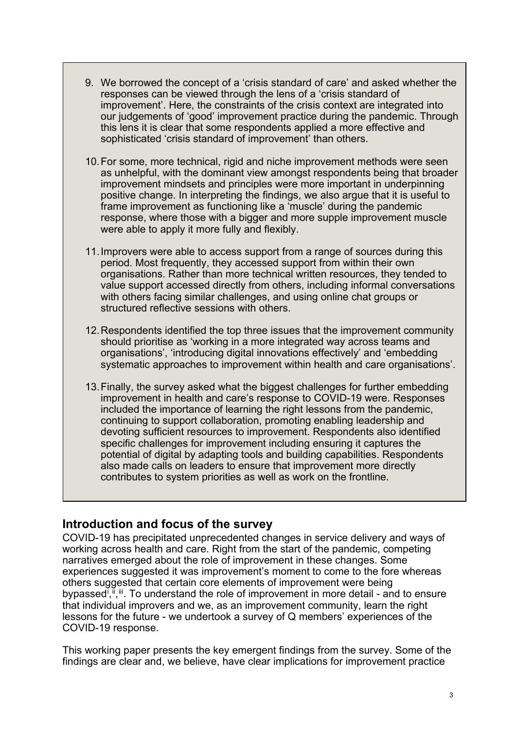- 9. We borrowed the concept of a 'crisis standard of care' and asked whether the responses can be viewed through the lens of a 'crisis standard of improvement'. Here, the constraints of the crisis context are integrated into our judgements of 'good' improvement practice during the pandemic. Through this lens it is clear that some respondents applied a more effective and sophisticated 'crisis standard of improvement' than others.
- 10.For some, more technical, rigid and niche improvement methods were seen as unhelpful, with the dominant view amongst respondents being that broader improvement mindsets and principles were more important in underpinning positive change. In interpreting the findings, we also argue that it is useful to frame improvement as functioning like a 'muscle' during the pandemic response, where those with a bigger and more supple improvement muscle were able to apply it more fully and flexibly.
- 11.Improvers were able to access support from a range of sources during this period. Most frequently, they accessed support from within their own organisations. Rather than more technical written resources, they tended to value support accessed directly from others, including informal conversations with others facing similar challenges, and using online chat groups or structured reflective sessions with others.
- 12.Respondents identified the top three issues that the improvement community should prioritise as 'working in a more integrated way across teams and organisations', 'introducing digital innovations effectively' and 'embedding systematic approaches to improvement within health and care organisations'.
- 13.Finally, the survey asked what the biggest challenges for further embedding improvement in health and care's response to COVID-19 were. Responses included the importance of learning the right lessons from the pandemic, continuing to support collaboration, promoting enabling leadership and devoting sufficient resources to improvement. Respondents also identified specific challenges for improvement including ensuring it captures the potential of digital by adapting tools and building capabilities. Respondents also made calls on leaders to ensure that improvement more directly contributes to system priorities as well as work on the frontline.

## **Introduction and focus of the survey**

COVID-19 has precipitated unprecedented changes in service delivery and ways of working across health and care. Right from the start of the pandemic, competing narratives emerged about the role of improvement in these changes. Some experiences suggested it was improvement's moment to come to the fore whereas others suggested that certain core elements of improvement were being bypassed<sup>[i](#page-14-0)</sup>,<sup>[ii](#page-14-1)</sup>,<sup>[iii](#page-14-2)</sup>. To understand the role of improvement in more detail - and to ensure that individual improvers and we, as an improvement community, learn the right lessons for the future - we undertook a survey of Q members' experiences of the COVID-19 response.

This working paper presents the key emergent findings from the survey. Some of the findings are clear and, we believe, have clear implications for improvement practice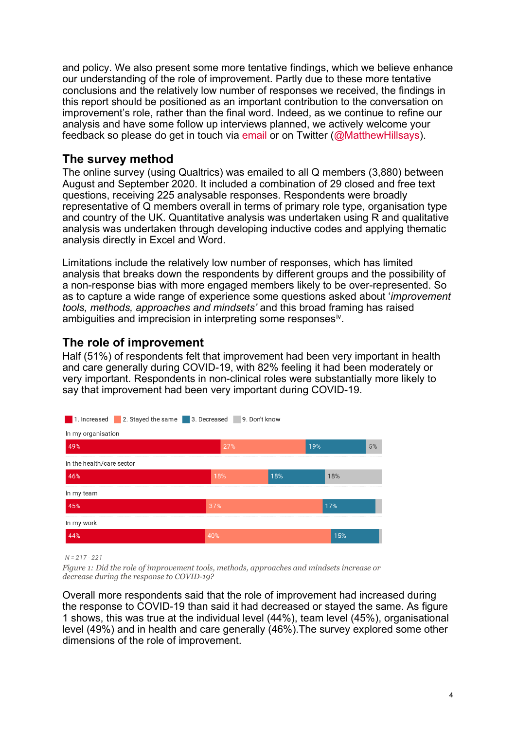and policy. We also present some more tentative findings, which we believe enhance our understanding of the role of improvement. Partly due to these more tentative conclusions and the relatively low number of responses we received, the findings in this report should be positioned as an important contribution to the conversation on improvement's role, rather than the final word. Indeed, as we continue to refine our analysis and have some follow up interviews planned, we actively welcome your feedback so please do get in touch via [email](https://twitter.com/MatthewHillsays) or on Twitter [\(@MatthewHillsays\)](https://twitter.com/MatthewHillsays).

## **The survey method**

The online survey (using Qualtrics) was emailed to all Q members (3,880) between August and September 2020. It included a combination of 29 closed and free text questions, receiving 225 analysable responses. Respondents were broadly representative of Q members overall in terms of primary role type, organisation type and country of the UK. Quantitative analysis was undertaken using R and qualitative analysis was undertaken through developing inductive codes and applying thematic analysis directly in Excel and Word.

Limitations include the relatively low number of responses, which has limited analysis that breaks down the respondents by different groups and the possibility of a non-response bias with more engaged members likely to be over-represented. So as to capture a wide range of experience some questions asked about '*improvement tools, methods, approaches and mindsets'* and this broad framing has raised ambiguities and imprecision in interpreting some responses<sup>iv</sup>.

## **The role of improvement**

Half (51%) of respondents felt that improvement had been very important in health and care generally during COVID-19, with 82% feeling it had been moderately or very important. Respondents in non-clinical roles were substantially more likely to say that improvement had been very important during COVID-19.



 $N = 217 - 221$ 

*Figure 1: Did the role of improvement tools, methods, approaches and mindsets increase or decrease during the response to COVID-19?* 

Overall more respondents said that the role of improvement had increased during the response to COVID-19 than said it had decreased or stayed the same. As figure 1 shows, this was true at the individual level (44%), team level (45%), organisational level (49%) and in health and care generally (46%).The survey explored some other dimensions of the role of improvement.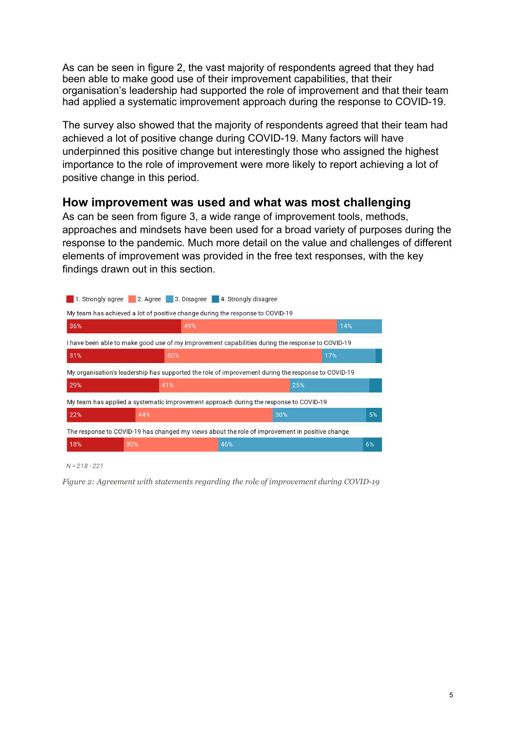As can be seen in figure 2, the vast majority of respondents agreed that they had been able to make good use of their improvement capabilities, that their organisation's leadership had supported the role of improvement and that their team had applied a systematic improvement approach during the response to COVID-19.

The survey also showed that the majority of respondents agreed that their team had achieved a lot of positive change during COVID-19. Many factors will have underpinned this positive change but interestingly those who assigned the highest importance to the role of improvement were more likely to report achieving a lot of positive change in this period.

## **How improvement was used and what was most challenging**

As can be seen from figure 3, a wide range of improvement tools, methods, approaches and mindsets have been used for a broad variety of purposes during the response to the pandemic. Much more detail on the value and challenges of different elements of improvement was provided in the free text responses, with the key findings drawn out in this section.



 $N = 218 - 221$ 

*Figure 2: Agreement with statements regarding the role of improvement during COVID-19*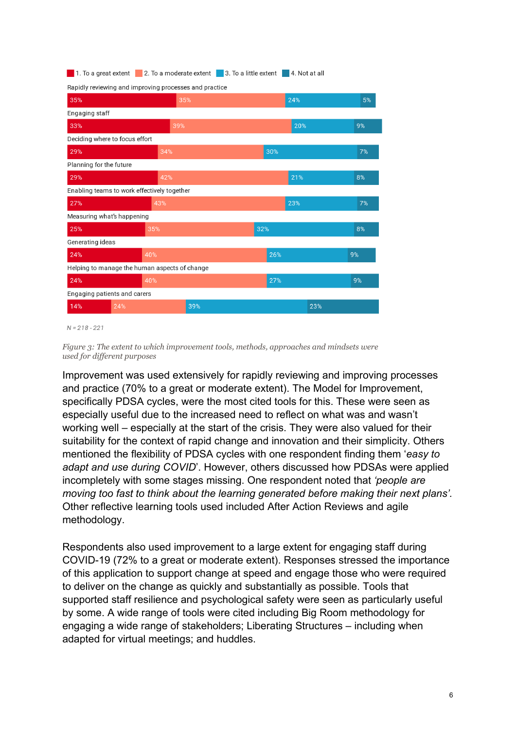|                                               | Rapidly reviewing and improving processes and practice |     |    |
|-----------------------------------------------|--------------------------------------------------------|-----|----|
| 35%                                           | 35%                                                    | 24% | 5% |
| Engaging staff                                |                                                        |     |    |
| 33%                                           | 39%                                                    | 20% | 9% |
| Deciding where to focus effort                |                                                        |     |    |
| 29%                                           | 34%                                                    | 30% | 7% |
| Planning for the future                       |                                                        |     |    |
| 29%                                           | 42%                                                    | 21% | 8% |
| Enabling teams to work effectively together   |                                                        |     |    |
| 27%                                           | 43%                                                    | 23% | 7% |
| Measuring what's happening                    |                                                        |     |    |
| 25%                                           | 35%                                                    | 32% | 8% |
| Generating ideas                              |                                                        |     |    |
| 24%                                           | 40%                                                    | 26% | 9% |
| Helping to manage the human aspects of change |                                                        |     |    |
| 24%                                           | 40%                                                    | 27% | 9% |
| Engaging patients and carers                  |                                                        |     |    |
| 14%<br>24%                                    | 39%                                                    | 23% |    |
|                                               |                                                        |     |    |

1. To a great extent 2. To a moderate extent 3. To a little extent 4. Not at all

 $N = 218 - 221$ 

*Figure 3: The extent to which improvement tools, methods, approaches and mindsets were used for different purposes* 

Improvement was used extensively for rapidly reviewing and improving processes and practice (70% to a great or moderate extent). The Model for Improvement, specifically PDSA cycles, were the most cited tools for this. These were seen as especially useful due to the increased need to reflect on what was and wasn't working well – especially at the start of the crisis. They were also valued for their suitability for the context of rapid change and innovation and their simplicity. Others mentioned the flexibility of PDSA cycles with one respondent finding them '*easy to adapt and use during COVID*'. However, others discussed how PDSAs were applied incompletely with some stages missing. One respondent noted that *'people are moving too fast to think about the learning generated before making their next plans'.* Other reflective learning tools used included After Action Reviews and agile methodology.

Respondents also used improvement to a large extent for engaging staff during COVID-19 (72% to a great or moderate extent). Responses stressed the importance of this application to support change at speed and engage those who were required to deliver on the change as quickly and substantially as possible. Tools that supported staff resilience and psychological safety were seen as particularly useful by some. A wide range of tools were cited including Big Room methodology for engaging a wide range of stakeholders; Liberating Structures – including when adapted for virtual meetings; and huddles.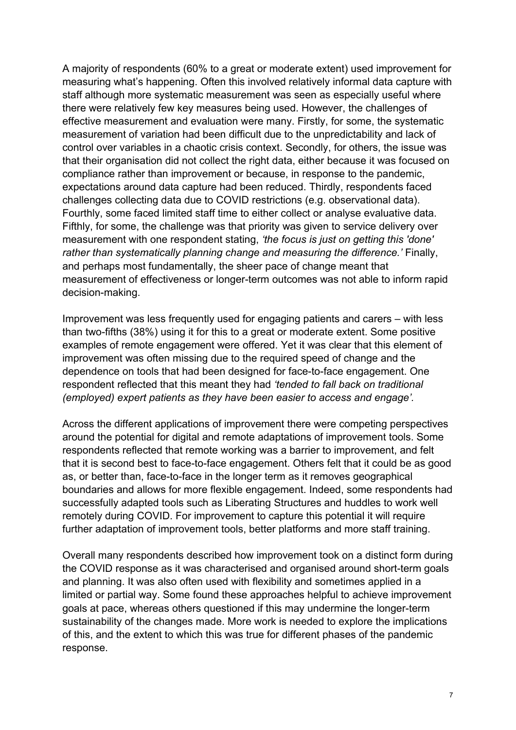A majority of respondents (60% to a great or moderate extent) used improvement for measuring what's happening. Often this involved relatively informal data capture with staff although more systematic measurement was seen as especially useful where there were relatively few key measures being used. However, the challenges of effective measurement and evaluation were many. Firstly, for some, the systematic measurement of variation had been difficult due to the unpredictability and lack of control over variables in a chaotic crisis context. Secondly, for others, the issue was that their organisation did not collect the right data, either because it was focused on compliance rather than improvement or because, in response to the pandemic, expectations around data capture had been reduced. Thirdly, respondents faced challenges collecting data due to COVID restrictions (e.g. observational data). Fourthly, some faced limited staff time to either collect or analyse evaluative data. Fifthly, for some, the challenge was that priority was given to service delivery over measurement with one respondent stating, *'the focus is just on getting this 'done' rather than systematically planning change and measuring the difference.'* Finally, and perhaps most fundamentally, the sheer pace of change meant that measurement of effectiveness or longer-term outcomes was not able to inform rapid decision-making.

Improvement was less frequently used for engaging patients and carers – with less than two-fifths (38%) using it for this to a great or moderate extent. Some positive examples of remote engagement were offered. Yet it was clear that this element of improvement was often missing due to the required speed of change and the dependence on tools that had been designed for face-to-face engagement. One respondent reflected that this meant they had *'tended to fall back on traditional (employed) expert patients as they have been easier to access and engage'.*

Across the different applications of improvement there were competing perspectives around the potential for digital and remote adaptations of improvement tools. Some respondents reflected that remote working was a barrier to improvement, and felt that it is second best to face-to-face engagement. Others felt that it could be as good as, or better than, face-to-face in the longer term as it removes geographical boundaries and allows for more flexible engagement. Indeed, some respondents had successfully adapted tools such as Liberating Structures and huddles to work well remotely during COVID. For improvement to capture this potential it will require further adaptation of improvement tools, better platforms and more staff training.

Overall many respondents described how improvement took on a distinct form during the COVID response as it was characterised and organised around short-term goals and planning. It was also often used with flexibility and sometimes applied in a limited or partial way. Some found these approaches helpful to achieve improvement goals at pace, whereas others questioned if this may undermine the longer-term sustainability of the changes made. More work is needed to explore the implications of this, and the extent to which this was true for different phases of the pandemic response.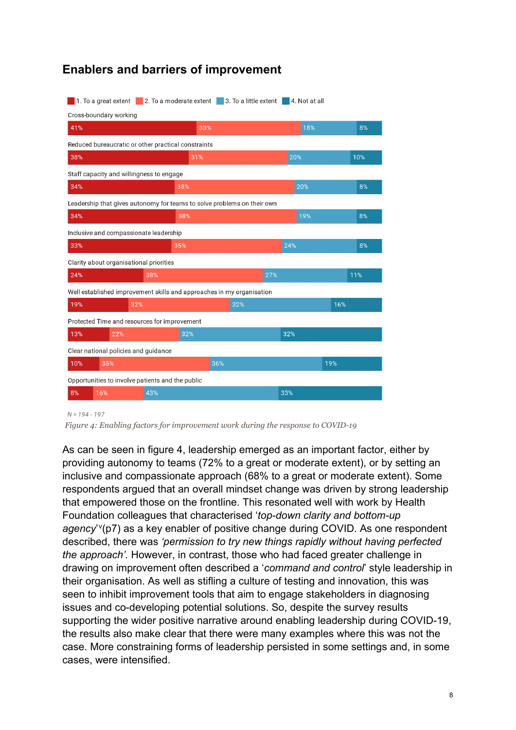|  |  |  |  | <b>Enablers and barriers of improvement</b> |
|--|--|--|--|---------------------------------------------|
|--|--|--|--|---------------------------------------------|

|                                                                         | 1. To a great extent                     | 2. To a moderate extent                             | 3. To a little extent |     | 4. Not at all |     |
|-------------------------------------------------------------------------|------------------------------------------|-----------------------------------------------------|-----------------------|-----|---------------|-----|
|                                                                         | Cross-boundary working                   |                                                     |                       |     |               |     |
| 41%                                                                     |                                          | 33%                                                 |                       |     | 18%           | 8%  |
|                                                                         |                                          | Reduced bureaucratic or other practical constraints |                       |     |               |     |
| 38%                                                                     |                                          | 31%                                                 |                       |     | 20%           | 10% |
|                                                                         | Staff capacity and willingness to engage |                                                     |                       |     |               |     |
| 34%                                                                     |                                          | 38%                                                 |                       |     | 20%           | 8%  |
| Leadership that gives autonomy for teams to solve problems on their own |                                          |                                                     |                       |     |               |     |
| 34%                                                                     |                                          | 38%                                                 |                       |     | 19%           | 8%  |
|                                                                         | Inclusive and compassionate leadership   |                                                     |                       |     |               |     |
| 33%                                                                     |                                          | 35%                                                 |                       |     | 24%           | 8%  |
|                                                                         | Clarity about organisational priorities  |                                                     |                       |     |               |     |
| 24%                                                                     |                                          | 38%                                                 |                       | 27% |               | 11% |
| Well established improvement skills and approaches in my organisation   |                                          |                                                     |                       |     |               |     |
| 19%                                                                     | 32%                                      |                                                     | 32%                   |     |               | 16% |
|                                                                         |                                          | Protected Time and resources for improvement        |                       |     |               |     |
| 13%                                                                     | 22%                                      | 32%                                                 |                       |     | 32%           |     |
|                                                                         | Clear national policies and guidance     |                                                     |                       |     |               |     |
| 10%                                                                     | 35%                                      |                                                     | 36%                   |     |               | 19% |
| Opportunities to involve patients and the public                        |                                          |                                                     |                       |     |               |     |
| 8%                                                                      | 16%                                      | 43%                                                 |                       | 33% |               |     |

 $N = 194 - 197$ 

*Figure 4: Enabling factors for improvement work during the response to COVID-19* 

As can be seen in figure 4, leadership emerged as an important factor, either by providing autonomy to teams (72% to a great or moderate extent), or by setting an inclusive and compassionate approach (68% to a great or moderate extent). Some respondents argued that an overall mindset change was driven by strong leadership that empowered those on the frontline. This resonated well with work by Health Foundation colleagues that characterised '*top-down clarity and bottom-up*  agency'<sup>[v](#page-14-4)</sup>(p7) as a key enabler of positive change during COVID. As one respondent described, there was *'permission to try new things rapidly without having perfected the approach'.* However, in contrast, those who had faced greater challenge in drawing on improvement often described a '*command and control*' style leadership in their organisation. As well as stifling a culture of testing and innovation, this was seen to inhibit improvement tools that aim to engage stakeholders in diagnosing issues and co-developing potential solutions. So, despite the survey results supporting the wider positive narrative around enabling leadership during COVID-19, the results also make clear that there were many examples where this was not the case. More constraining forms of leadership persisted in some settings and, in some cases, were intensified.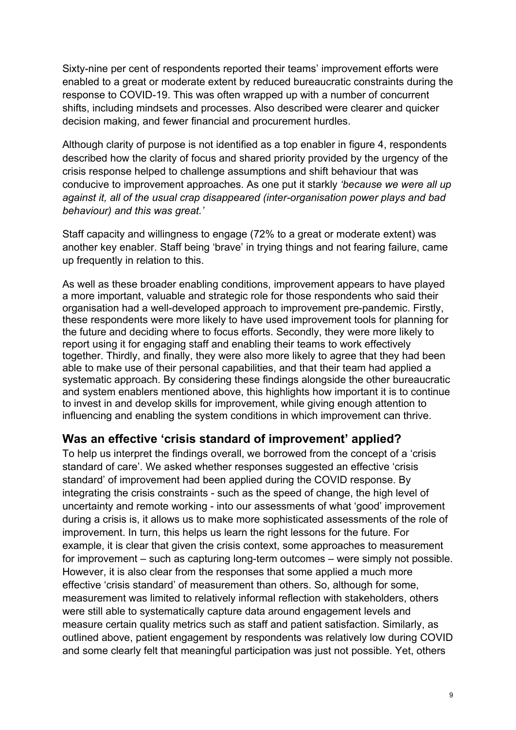Sixty-nine per cent of respondents reported their teams' improvement efforts were enabled to a great or moderate extent by reduced bureaucratic constraints during the response to COVID-19. This was often wrapped up with a number of concurrent shifts, including mindsets and processes. Also described were clearer and quicker decision making, and fewer financial and procurement hurdles.

Although clarity of purpose is not identified as a top enabler in figure 4, respondents described how the clarity of focus and shared priority provided by the urgency of the crisis response helped to challenge assumptions and shift behaviour that was conducive to improvement approaches. As one put it starkly *'because we were all up against it, all of the usual crap disappeared (inter-organisation power plays and bad behaviour) and this was great.'*

Staff capacity and willingness to engage (72% to a great or moderate extent) was another key enabler. Staff being 'brave' in trying things and not fearing failure, came up frequently in relation to this.

As well as these broader enabling conditions, improvement appears to have played a more important, valuable and strategic role for those respondents who said their organisation had a well-developed approach to improvement pre-pandemic. Firstly, these respondents were more likely to have used improvement tools for planning for the future and deciding where to focus efforts. Secondly, they were more likely to report using it for engaging staff and enabling their teams to work effectively together. Thirdly, and finally, they were also more likely to agree that they had been able to make use of their personal capabilities, and that their team had applied a systematic approach. By considering these findings alongside the other bureaucratic and system enablers mentioned above, this highlights how important it is to continue to invest in and develop skills for improvement, while giving enough attention to influencing and enabling the system conditions in which improvement can thrive.

## **Was an effective 'crisis standard of improvement' applied?**

To help us interpret the findings overall, we borrowed from the concept of a 'crisis standard of care'. We asked whether responses suggested an effective 'crisis standard' of improvement had been applied during the COVID response. By integrating the crisis constraints - such as the speed of change, the high level of uncertainty and remote working - into our assessments of what 'good' improvement during a crisis is, it allows us to make more sophisticated assessments of the role of improvement. In turn, this helps us learn the right lessons for the future. For example, it is clear that given the crisis context, some approaches to measurement for improvement – such as capturing long-term outcomes – were simply not possible. However, it is also clear from the responses that some applied a much more effective 'crisis standard' of measurement than others. So, although for some, measurement was limited to relatively informal reflection with stakeholders, others were still able to systematically capture data around engagement levels and measure certain quality metrics such as staff and patient satisfaction. Similarly, as outlined above, patient engagement by respondents was relatively low during COVID and some clearly felt that meaningful participation was just not possible. Yet, others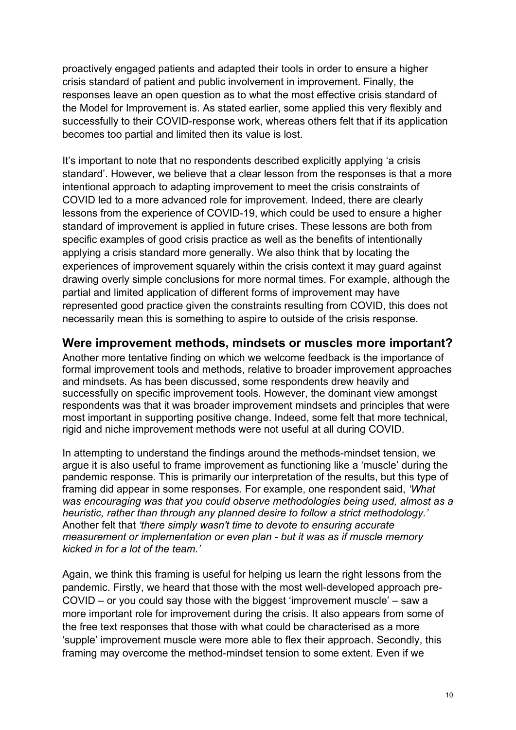proactively engaged patients and adapted their tools in order to ensure a higher crisis standard of patient and public involvement in improvement. Finally, the responses leave an open question as to what the most effective crisis standard of the Model for Improvement is. As stated earlier, some applied this very flexibly and successfully to their COVID-response work, whereas others felt that if its application becomes too partial and limited then its value is lost.

It's important to note that no respondents described explicitly applying 'a crisis standard'. However, we believe that a clear lesson from the responses is that a more intentional approach to adapting improvement to meet the crisis constraints of COVID led to a more advanced role for improvement. Indeed, there are clearly lessons from the experience of COVID-19, which could be used to ensure a higher standard of improvement is applied in future crises. These lessons are both from specific examples of good crisis practice as well as the benefits of intentionally applying a crisis standard more generally. We also think that by locating the experiences of improvement squarely within the crisis context it may guard against drawing overly simple conclusions for more normal times. For example, although the partial and limited application of different forms of improvement may have represented good practice given the constraints resulting from COVID, this does not necessarily mean this is something to aspire to outside of the crisis response.

## **Were improvement methods, mindsets or muscles more important?**

Another more tentative finding on which we welcome feedback is the importance of formal improvement tools and methods, relative to broader improvement approaches and mindsets. As has been discussed, some respondents drew heavily and successfully on specific improvement tools. However, the dominant view amongst respondents was that it was broader improvement mindsets and principles that were most important in supporting positive change. Indeed, some felt that more technical, rigid and niche improvement methods were not useful at all during COVID.

In attempting to understand the findings around the methods-mindset tension, we argue it is also useful to frame improvement as functioning like a 'muscle' during the pandemic response. This is primarily our interpretation of the results, but this type of framing did appear in some responses. For example, one respondent said, *'What was encouraging was that you could observe methodologies being used, almost as a heuristic, rather than through any planned desire to follow a strict methodology.'* Another felt that *'there simply wasn't time to devote to ensuring accurate measurement or implementation or even plan - but it was as if muscle memory kicked in for a lot of the team.'*

Again, we think this framing is useful for helping us learn the right lessons from the pandemic. Firstly, we heard that those with the most well-developed approach pre-COVID – or you could say those with the biggest 'improvement muscle' – saw a more important role for improvement during the crisis. It also appears from some of the free text responses that those with what could be characterised as a more 'supple' improvement muscle were more able to flex their approach. Secondly, this framing may overcome the method-mindset tension to some extent. Even if we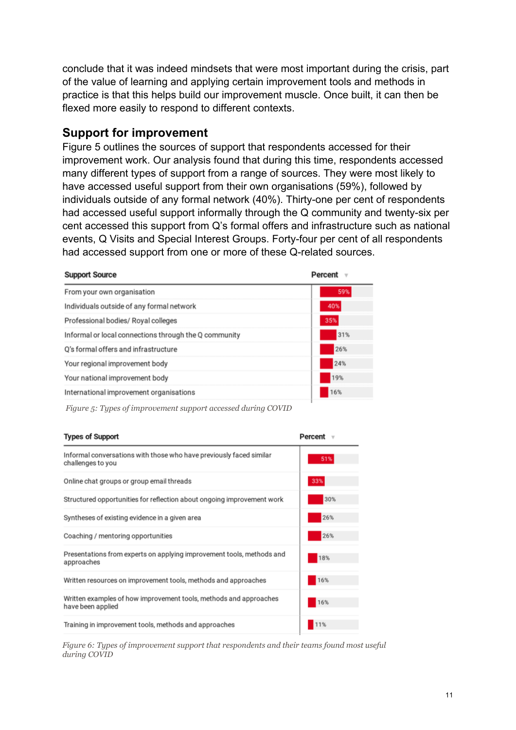conclude that it was indeed mindsets that were most important during the crisis, part of the value of learning and applying certain improvement tools and methods in practice is that this helps build our improvement muscle. Once built, it can then be flexed more easily to respond to different contexts.

## **Support for improvement**

Figure 5 outlines the sources of support that respondents accessed for their improvement work. Our analysis found that during this time, respondents accessed many different types of support from a range of sources. They were most likely to have accessed useful support from their own organisations (59%), followed by individuals outside of any formal network (40%). Thirty-one per cent of respondents had accessed useful support informally through the Q community and twenty-six per cent accessed this support from Q's formal offers and infrastructure such as national events, Q Visits and Special Interest Groups. Forty-four per cent of all respondents had accessed support from one or more of these Q-related sources.

| <b>Support Source</b>                                 | Percent |  |
|-------------------------------------------------------|---------|--|
| From your own organisation                            | 59%     |  |
| Individuals outside of any formal network             | 40%     |  |
| Professional bodies/ Royal colleges                   | 35%     |  |
| Informal or local connections through the Q community | 31%     |  |
| O's formal offers and infrastructure                  | 26%     |  |
| Your regional improvement body                        | 24%     |  |
| Your national improvement body                        | 19%     |  |
| International improvement organisations               | 16%     |  |

*Figure 5: Types of improvement support accessed during COVID*

| <b>Types of Support</b>                                                                  | Percent v |
|------------------------------------------------------------------------------------------|-----------|
| Informal conversations with those who have previously faced similar<br>challenges to you | 51%       |
| Online chat groups or group email threads                                                | 33%       |
| Structured opportunities for reflection about ongoing improvement work                   | 30%       |
| Syntheses of existing evidence in a given area                                           | 26%       |
| Coaching / mentoring opportunities                                                       | 26%       |
| Presentations from experts on applying improvement tools, methods and<br>approaches      | 18%       |
| Written resources on improvement tools, methods and approaches                           | 16%       |
| Written examples of how improvement tools, methods and approaches<br>have been applied   | 16%       |
| Training in improvement tools, methods and approaches                                    | 11%       |

*Figure 6: Types of improvement support that respondents and their teams found most useful during COVID*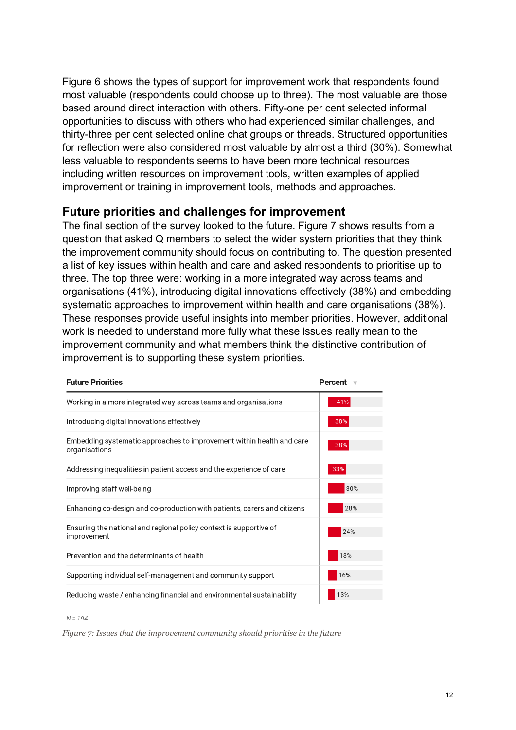Figure 6 shows the types of support for improvement work that respondents found most valuable (respondents could choose up to three). The most valuable are those based around direct interaction with others. Fifty-one per cent selected informal opportunities to discuss with others who had experienced similar challenges, and thirty-three per cent selected online chat groups or threads. Structured opportunities for reflection were also considered most valuable by almost a third (30%). Somewhat less valuable to respondents seems to have been more technical resources including written resources on improvement tools, written examples of applied improvement or training in improvement tools, methods and approaches.

## **Future priorities and challenges for improvement**

The final section of the survey looked to the future. Figure 7 shows results from a question that asked Q members to select the wider system priorities that they think the improvement community should focus on contributing to. The question presented a list of key issues within health and care and asked respondents to prioritise up to three. The top three were: working in a more integrated way across teams and organisations (41%), introducing digital innovations effectively (38%) and embedding systematic approaches to improvement within health and care organisations (38%). These responses provide useful insights into member priorities. However, additional work is needed to understand more fully what these issues really mean to the improvement community and what members think the distinctive contribution of improvement is to supporting these system priorities.

| <b>Future Priorities</b>                                                               | Percent |
|----------------------------------------------------------------------------------------|---------|
| Working in a more integrated way across teams and organisations                        | 41%     |
| Introducing digital innovations effectively                                            | 38%     |
| Embedding systematic approaches to improvement within health and care<br>organisations | 38%     |
| Addressing inequalities in patient access and the experience of care                   | 33%     |
| Improving staff well-being                                                             | 30%     |
| Enhancing co-design and co-production with patients, carers and citizens               | 28%     |
| Ensuring the national and regional policy context is supportive of<br>improvement      | 24%     |
| Prevention and the determinants of health                                              | 18%     |
| Supporting individual self-management and community support                            | 16%     |
| Reducing waste / enhancing financial and environmental sustainability                  | 13%     |

 $N = 194$ 

*Figure 7: Issues that the improvement community should prioritise in the future*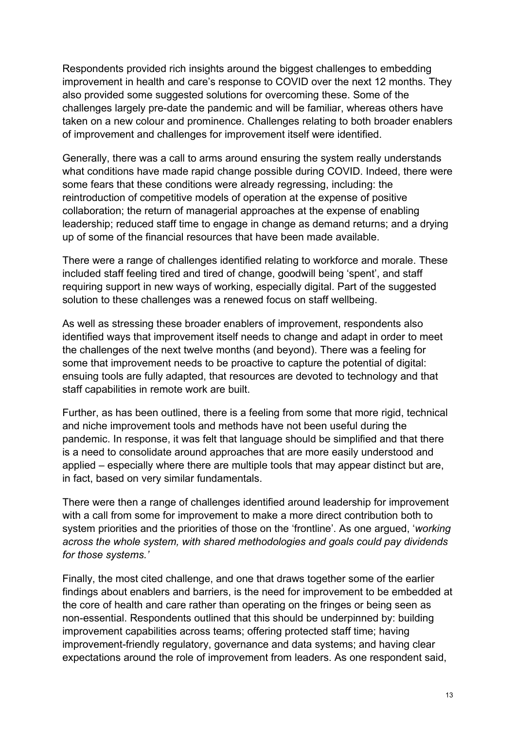Respondents provided rich insights around the biggest challenges to embedding improvement in health and care's response to COVID over the next 12 months. They also provided some suggested solutions for overcoming these. Some of the challenges largely pre-date the pandemic and will be familiar, whereas others have taken on a new colour and prominence. Challenges relating to both broader enablers of improvement and challenges for improvement itself were identified.

Generally, there was a call to arms around ensuring the system really understands what conditions have made rapid change possible during COVID. Indeed, there were some fears that these conditions were already regressing, including: the reintroduction of competitive models of operation at the expense of positive collaboration; the return of managerial approaches at the expense of enabling leadership; reduced staff time to engage in change as demand returns; and a drying up of some of the financial resources that have been made available.

There were a range of challenges identified relating to workforce and morale. These included staff feeling tired and tired of change, goodwill being 'spent', and staff requiring support in new ways of working, especially digital. Part of the suggested solution to these challenges was a renewed focus on staff wellbeing.

As well as stressing these broader enablers of improvement, respondents also identified ways that improvement itself needs to change and adapt in order to meet the challenges of the next twelve months (and beyond). There was a feeling for some that improvement needs to be proactive to capture the potential of digital: ensuing tools are fully adapted, that resources are devoted to technology and that staff capabilities in remote work are built.

Further, as has been outlined, there is a feeling from some that more rigid, technical and niche improvement tools and methods have not been useful during the pandemic. In response, it was felt that language should be simplified and that there is a need to consolidate around approaches that are more easily understood and applied – especially where there are multiple tools that may appear distinct but are, in fact, based on very similar fundamentals.

There were then a range of challenges identified around leadership for improvement with a call from some for improvement to make a more direct contribution both to system priorities and the priorities of those on the 'frontline'. As one argued, '*working across the whole system, with shared methodologies and goals could pay dividends for those systems.'*

Finally, the most cited challenge, and one that draws together some of the earlier findings about enablers and barriers, is the need for improvement to be embedded at the core of health and care rather than operating on the fringes or being seen as non-essential. Respondents outlined that this should be underpinned by: building improvement capabilities across teams; offering protected staff time; having improvement-friendly regulatory, governance and data systems; and having clear expectations around the role of improvement from leaders. As one respondent said,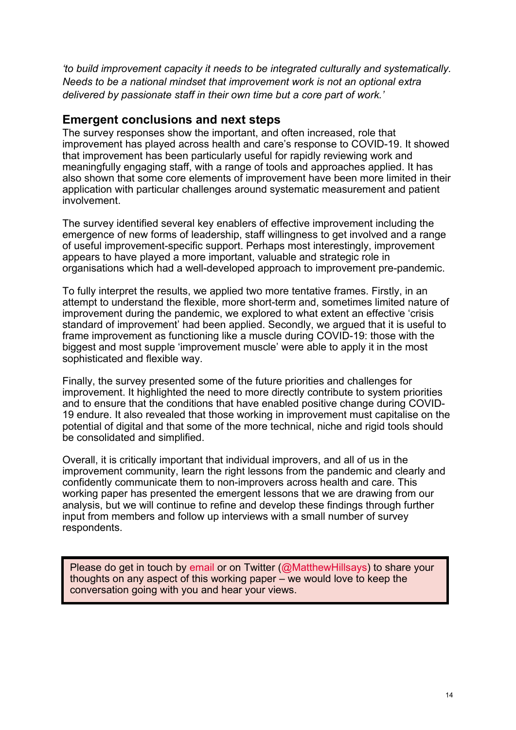*'to build improvement capacity it needs to be integrated culturally and systematically. Needs to be a national mindset that improvement work is not an optional extra delivered by passionate staff in their own time but a core part of work.'*

#### **Emergent conclusions and next steps**

The survey responses show the important, and often increased, role that improvement has played across health and care's response to COVID-19. It showed that improvement has been particularly useful for rapidly reviewing work and meaningfully engaging staff, with a range of tools and approaches applied. It has also shown that some core elements of improvement have been more limited in their application with particular challenges around systematic measurement and patient involvement.

The survey identified several key enablers of effective improvement including the emergence of new forms of leadership, staff willingness to get involved and a range of useful improvement-specific support. Perhaps most interestingly, improvement appears to have played a more important, valuable and strategic role in organisations which had a well-developed approach to improvement pre-pandemic.

To fully interpret the results, we applied two more tentative frames. Firstly, in an attempt to understand the flexible, more short-term and, sometimes limited nature of improvement during the pandemic, we explored to what extent an effective 'crisis standard of improvement' had been applied. Secondly, we argued that it is useful to frame improvement as functioning like a muscle during COVID-19: those with the biggest and most supple 'improvement muscle' were able to apply it in the most sophisticated and flexible way.

Finally, the survey presented some of the future priorities and challenges for improvement. It highlighted the need to more directly contribute to system priorities and to ensure that the conditions that have enabled positive change during COVID-19 endure. It also revealed that those working in improvement must capitalise on the potential of digital and that some of the more technical, niche and rigid tools should be consolidated and simplified.

Overall, it is critically important that individual improvers, and all of us in the improvement community, learn the right lessons from the pandemic and clearly and confidently communicate them to non-improvers across health and care. This working paper has presented the emergent lessons that we are drawing from our analysis, but we will continue to refine and develop these findings through further input from members and follow up interviews with a small number of survey respondents.

Please do get in touch by [email](mailto:matthew.hill@health.org.uk) or on Twitter [\(@MatthewHillsays\)](mailto:matthew.hill@health.org.uk) to share your thoughts on any aspect of this working paper – we would love to keep the conversation going with you and hear your views.